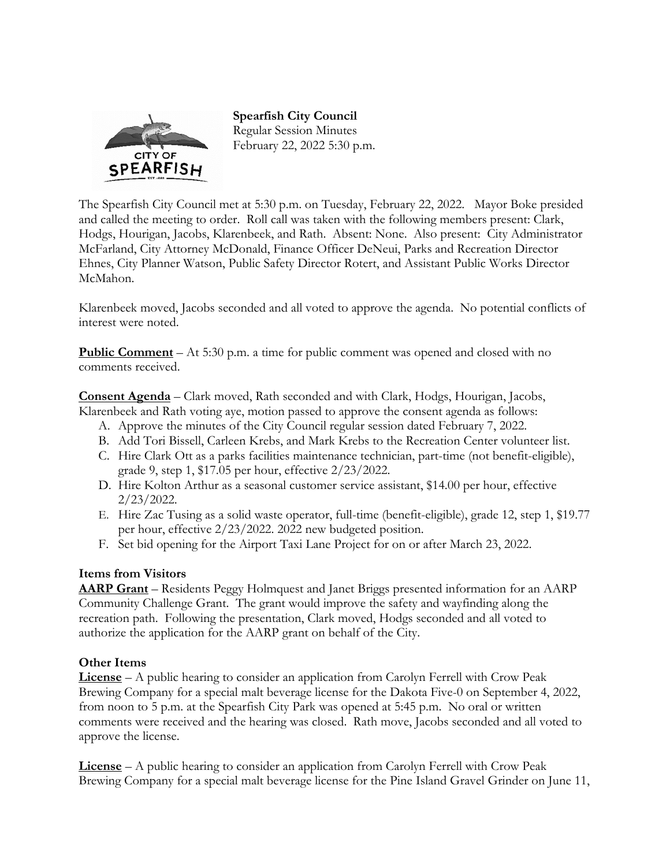

**Spearfish City Council**  Regular Session Minutes February 22, 2022 5:30 p.m.

The Spearfish City Council met at 5:30 p.m. on Tuesday, February 22, 2022. Mayor Boke presided and called the meeting to order. Roll call was taken with the following members present: Clark, Hodgs, Hourigan, Jacobs, Klarenbeek, and Rath. Absent: None. Also present: City Administrator McFarland, City Attorney McDonald, Finance Officer DeNeui, Parks and Recreation Director Ehnes, City Planner Watson, Public Safety Director Rotert, and Assistant Public Works Director McMahon.

Klarenbeek moved, Jacobs seconded and all voted to approve the agenda. No potential conflicts of interest were noted.

**Public Comment** – At 5:30 p.m. a time for public comment was opened and closed with no comments received.

**Consent Agenda** – Clark moved, Rath seconded and with Clark, Hodgs, Hourigan, Jacobs, Klarenbeek and Rath voting aye, motion passed to approve the consent agenda as follows:

- A. Approve the minutes of the City Council regular session dated February 7, 2022.
- B. Add Tori Bissell, Carleen Krebs, and Mark Krebs to the Recreation Center volunteer list.
- C. Hire Clark Ott as a parks facilities maintenance technician, part-time (not benefit-eligible), grade 9, step 1, \$17.05 per hour, effective 2/23/2022.
- D. Hire Kolton Arthur as a seasonal customer service assistant, \$14.00 per hour, effective 2/23/2022.
- E. Hire Zac Tusing as a solid waste operator, full-time (benefit-eligible), grade 12, step 1, \$19.77 per hour, effective 2/23/2022. 2022 new budgeted position.
- F. Set bid opening for the Airport Taxi Lane Project for on or after March 23, 2022.

## **Items from Visitors**

**AARP Grant** – Residents Peggy Holmquest and Janet Briggs presented information for an AARP Community Challenge Grant. The grant would improve the safety and wayfinding along the recreation path. Following the presentation, Clark moved, Hodgs seconded and all voted to authorize the application for the AARP grant on behalf of the City.

## **Other Items**

**License** – A public hearing to consider an application from Carolyn Ferrell with Crow Peak Brewing Company for a special malt beverage license for the Dakota Five-0 on September 4, 2022, from noon to 5 p.m. at the Spearfish City Park was opened at 5:45 p.m. No oral or written comments were received and the hearing was closed. Rath move, Jacobs seconded and all voted to approve the license.

**License** – A public hearing to consider an application from Carolyn Ferrell with Crow Peak Brewing Company for a special malt beverage license for the Pine Island Gravel Grinder on June 11,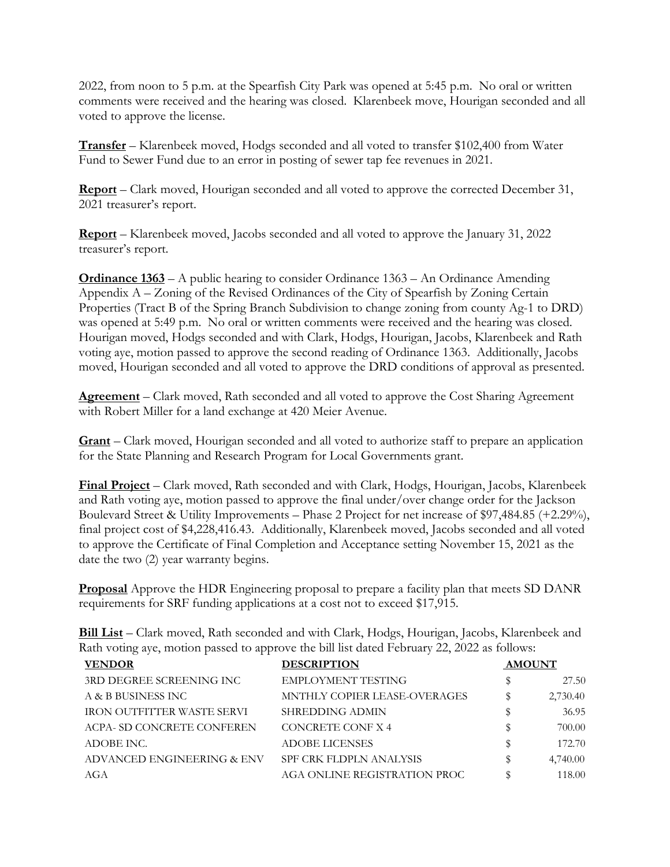2022, from noon to 5 p.m. at the Spearfish City Park was opened at 5:45 p.m. No oral or written comments were received and the hearing was closed. Klarenbeek move, Hourigan seconded and all voted to approve the license.

**Transfer** – Klarenbeek moved, Hodgs seconded and all voted to transfer \$102,400 from Water Fund to Sewer Fund due to an error in posting of sewer tap fee revenues in 2021.

**Report** – Clark moved, Hourigan seconded and all voted to approve the corrected December 31, 2021 treasurer's report.

**Report** – Klarenbeek moved, Jacobs seconded and all voted to approve the January 31, 2022 treasurer's report.

**Ordinance 1363** – A public hearing to consider Ordinance 1363 – An Ordinance Amending Appendix A – Zoning of the Revised Ordinances of the City of Spearfish by Zoning Certain Properties (Tract B of the Spring Branch Subdivision to change zoning from county Ag-1 to DRD) was opened at 5:49 p.m. No oral or written comments were received and the hearing was closed. Hourigan moved, Hodgs seconded and with Clark, Hodgs, Hourigan, Jacobs, Klarenbeek and Rath voting aye, motion passed to approve the second reading of Ordinance 1363. Additionally, Jacobs moved, Hourigan seconded and all voted to approve the DRD conditions of approval as presented.

**Agreement** – Clark moved, Rath seconded and all voted to approve the Cost Sharing Agreement with Robert Miller for a land exchange at 420 Meier Avenue.

**Grant** – Clark moved, Hourigan seconded and all voted to authorize staff to prepare an application for the State Planning and Research Program for Local Governments grant.

**Final Project** – Clark moved, Rath seconded and with Clark, Hodgs, Hourigan, Jacobs, Klarenbeek and Rath voting aye, motion passed to approve the final under/over change order for the Jackson Boulevard Street & Utility Improvements – Phase 2 Project for net increase of \$97,484.85 (+2.29%), final project cost of \$4,228,416.43. Additionally, Klarenbeek moved, Jacobs seconded and all voted to approve the Certificate of Final Completion and Acceptance setting November 15, 2021 as the date the two (2) year warranty begins.

**Proposal** Approve the HDR Engineering proposal to prepare a facility plan that meets SD DANR requirements for SRF funding applications at a cost not to exceed \$17,915.

**Bill List** – Clark moved, Rath seconded and with Clark, Hodgs, Hourigan, Jacobs, Klarenbeek and Rath voting aye, motion passed to approve the bill list dated February 22, 2022 as follows:

| <b>VENDOR</b>              | <b>DESCRIPTION</b>           | <b>AMOUNT</b> |
|----------------------------|------------------------------|---------------|
| 3RD DEGREE SCREENING INC   | EMPLOYMENT TESTING           | 27.50         |
| A & B BUSINESS INC         | MNTHLY COPIER LEASE-OVERAGES | 2,730.40      |
| IRON OUTFITTER WASTE SERVI | SHREDDING ADMIN              | 36.95         |
| ACPA- SD CONCRETE CONFEREN | CONCRETE CONF X 4            | 700.00        |
| ADOBE INC.                 | <b>ADOBE LICENSES</b>        | 172.70        |
| ADVANCED ENGINEERING & ENV | SPF CRK FLDPLN ANALYSIS      | 4,740.00      |
| AGA                        | AGA ONLINE REGISTRATION PROC | 118.00        |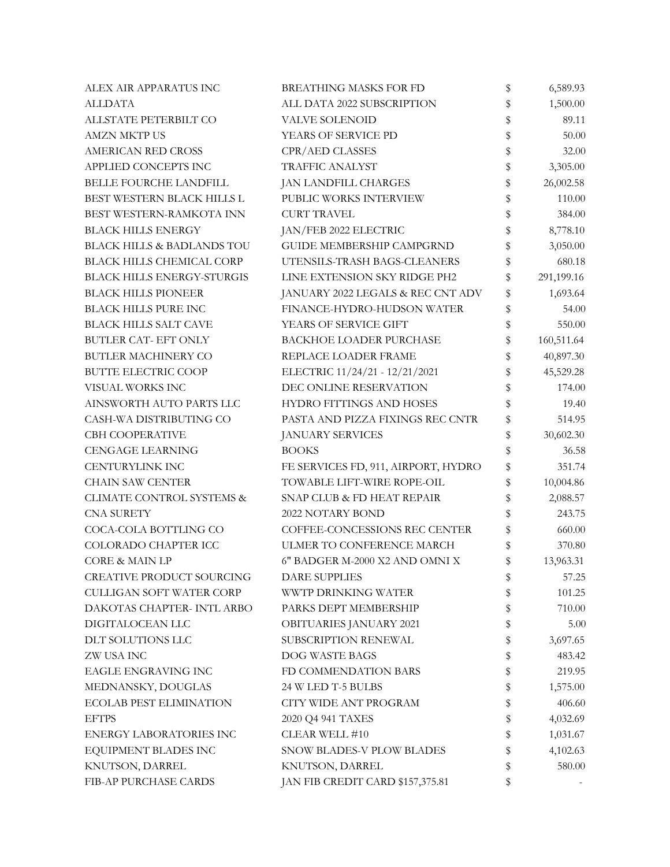| ALEX AIR APPARATUS INC                | <b>BREATHING MASKS FOR FD</b>       | \$ | 6,589.93   |
|---------------------------------------|-------------------------------------|----|------------|
| <b>ALLDATA</b>                        | ALL DATA 2022 SUBSCRIPTION          | \$ | 1,500.00   |
| ALLSTATE PETERBILT CO                 | <b>VALVE SOLENOID</b>               | \$ | 89.11      |
| <b>AMZN MKTP US</b>                   | YEARS OF SERVICE PD                 | \$ | 50.00      |
| <b>AMERICAN RED CROSS</b>             | CPR/AED CLASSES                     | \$ | 32.00      |
| APPLIED CONCEPTS INC                  | <b>TRAFFIC ANALYST</b>              | \$ | 3,305.00   |
| <b>BELLE FOURCHE LANDFILL</b>         | JAN LANDFILL CHARGES                | \$ | 26,002.58  |
| BEST WESTERN BLACK HILLS L            | PUBLIC WORKS INTERVIEW              | \$ | 110.00     |
| BEST WESTERN-RAMKOTA INN              | <b>CURT TRAVEL</b>                  | \$ | 384.00     |
| <b>BLACK HILLS ENERGY</b>             | JAN/FEB 2022 ELECTRIC               | \$ | 8,778.10   |
| <b>BLACK HILLS &amp; BADLANDS TOU</b> | <b>GUIDE MEMBERSHIP CAMPGRND</b>    | \$ | 3,050.00   |
| BLACK HILLS CHEMICAL CORP             | UTENSILS-TRASH BAGS-CLEANERS        | \$ | 680.18     |
| <b>BLACK HILLS ENERGY-STURGIS</b>     | LINE EXTENSION SKY RIDGE PH2        | \$ | 291,199.16 |
| <b>BLACK HILLS PIONEER</b>            | JANUARY 2022 LEGALS & REC CNT ADV   | \$ | 1,693.64   |
| <b>BLACK HILLS PURE INC</b>           | FINANCE-HYDRO-HUDSON WATER          | \$ | 54.00      |
| <b>BLACK HILLS SALT CAVE</b>          | YEARS OF SERVICE GIFT               | \$ | 550.00     |
| <b>BUTLER CAT- EFT ONLY</b>           | <b>BACKHOE LOADER PURCHASE</b>      | \$ | 160,511.64 |
| BUTLER MACHINERY CO                   | REPLACE LOADER FRAME                | \$ | 40,897.30  |
| <b>BUTTE ELECTRIC COOP</b>            | ELECTRIC 11/24/21 - 12/21/2021      | \$ | 45,529.28  |
| VISUAL WORKS INC                      | DEC ONLINE RESERVATION              | \$ | 174.00     |
| AINSWORTH AUTO PARTS LLC              | HYDRO FITTINGS AND HOSES            | \$ | 19.40      |
| CASH-WA DISTRIBUTING CO               | PASTA AND PIZZA FIXINGS REC CNTR    | \$ | 514.95     |
| <b>CBH COOPERATIVE</b>                | <b>JANUARY SERVICES</b>             | \$ | 30,602.30  |
| <b>CENGAGE LEARNING</b>               | <b>BOOKS</b>                        | \$ | 36.58      |
| <b>CENTURYLINK INC</b>                | FE SERVICES FD, 911, AIRPORT, HYDRO | \$ | 351.74     |
| <b>CHAIN SAW CENTER</b>               | TOWABLE LIFT-WIRE ROPE-OIL          | \$ | 10,004.86  |
| CLIMATE CONTROL SYSTEMS &             | SNAP CLUB & FD HEAT REPAIR          | \$ | 2,088.57   |
| <b>CNA SURETY</b>                     | 2022 NOTARY BOND                    | \$ | 243.75     |
| COCA-COLA BOTTLING CO                 | COFFEE-CONCESSIONS REC CENTER       | \$ | 660.00     |
| COLORADO CHAPTER ICC                  | ULMER TO CONFERENCE MARCH           | \$ | 370.80     |
| <b>CORE &amp; MAIN LP</b>             | 6" BADGER M-2000 X2 AND OMNI X      | \$ | 13,963.31  |
| CREATIVE PRODUCT SOURCING             | <b>DARE SUPPLIES</b>                | Þ  | 57.25      |
| <b>CULLIGAN SOFT WATER CORP</b>       | WWTP DRINKING WATER                 | \$ | 101.25     |
| DAKOTAS CHAPTER- INTL ARBO            | PARKS DEPT MEMBERSHIP               | \$ | 710.00     |
| DIGITALOCEAN LLC                      | OBITUARIES JANUARY 2021             | \$ | 5.00       |
| DLT SOLUTIONS LLC                     | SUBSCRIPTION RENEWAL                | \$ | 3,697.65   |
| ZW USA INC                            | DOG WASTE BAGS                      | \$ | 483.42     |
| EAGLE ENGRAVING INC                   | FD COMMENDATION BARS                | \$ | 219.95     |
| MEDNANSKY, DOUGLAS                    | 24 W LED T-5 BULBS                  | \$ | 1,575.00   |
| <b>ECOLAB PEST ELIMINATION</b>        | CITY WIDE ANT PROGRAM               | \$ | 406.60     |
| <b>EFTPS</b>                          | 2020 Q4 941 TAXES                   | \$ | 4,032.69   |
| <b>ENERGY LABORATORIES INC</b>        | CLEAR WELL #10                      | \$ | 1,031.67   |
| EQUIPMENT BLADES INC                  | SNOW BLADES-V PLOW BLADES           | \$ | 4,102.63   |
| KNUTSON, DARREL                       | KNUTSON, DARREL                     | \$ | 580.00     |
| FIB-AP PURCHASE CARDS                 | JAN FIB CREDIT CARD \$157,375.81    | \$ |            |